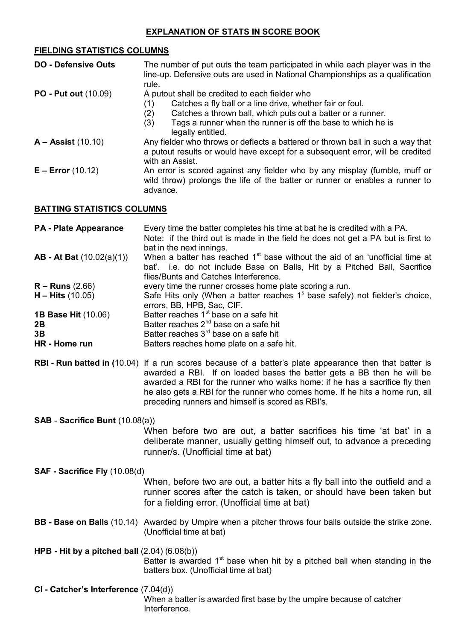# **FIELDING STATISTICS COLUMNS**

| <b>DO - Defensive Outs</b>        | The number of put outs the team participated in while each player was in the<br>line-up. Defensive outs are used in National Championships as a qualification<br>rule.                                                                                                               |  |
|-----------------------------------|--------------------------------------------------------------------------------------------------------------------------------------------------------------------------------------------------------------------------------------------------------------------------------------|--|
| <b>PO - Put out (10.09)</b>       | A putout shall be credited to each fielder who<br>Catches a fly ball or a line drive, whether fair or foul.<br>(1)<br>Catches a thrown ball, which puts out a batter or a runner.<br>(2)<br>Tags a runner when the runner is off the base to which he is<br>(3)<br>legally entitled. |  |
| $A - Assist(10.10)$               | Any fielder who throws or deflects a battered or thrown ball in such a way that<br>a putout results or would have except for a subsequent error, will be credited<br>with an Assist.                                                                                                 |  |
| $E - Error (10.12)$               | An error is scored against any fielder who by any misplay (fumble, muff or<br>wild throw) prolongs the life of the batter or runner or enables a runner to<br>advance.                                                                                                               |  |
| <b>BATTING STATISTICS COLUMNS</b> |                                                                                                                                                                                                                                                                                      |  |

| <b>PA - Plate Appearance</b> | Every time the batter completes his time at bat he is credited with a PA.               |
|------------------------------|-----------------------------------------------------------------------------------------|
|                              | Note: if the third out is made in the field he does not get a PA but is first to        |
|                              | bat in the next innings.                                                                |
| $AB - At Bat (10.02(a)(1))$  | When a batter has reached $1st$ base without the aid of an 'unofficial time at          |
|                              | bat'. i.e. do not include Base on Balls, Hit by a Pitched Ball, Sacrifice               |
|                              | flies/Bunts and Catches Interference.                                                   |
| $R -$ Runs (2.66)            | every time the runner crosses home plate scoring a run.                                 |
| $H - Hits(10.05)$            | Safe Hits only (When a batter reaches 1 <sup>s</sup> base safely) not fielder's choice, |
|                              | errors, BB, HPB, Sac, CIF.                                                              |
| <b>1B Base Hit (10.06)</b>   | Batter reaches 1 <sup>st</sup> base on a safe hit                                       |
| 2Β                           | Batter reaches $2^{nd}$ base on a safe hit                                              |
| 3B                           | Batter reaches 3 <sup>rd</sup> base on a safe hit                                       |
| HR - Home run                | Batters reaches home plate on a safe hit.                                               |
|                              |                                                                                         |

**RBI - Run batted in (**10.04) If a run scores because of a batter's plate appearance then that batter is awarded a RBI. If on loaded bases the batter gets a BB then he will be awarded a RBI for the runner who walks home: if he has a sacrifice fly then he also gets a RBI for the runner who comes home. If he hits a home run, all preceding runners and himself is scored as RBI's.

**SAB** - **Sacrifice Bunt** (10.08(a))

When before two are out, a batter sacrifices his time 'at bat' in a deliberate manner, usually getting himself out, to advance a preceding runner/s. (Unofficial time at bat)

# **SAF - Sacrifice Fly** (10.08(d)

When, before two are out, a batter hits a fly ball into the outfield and a runner scores after the catch is taken, or should have been taken but for a fielding error. (Unofficial time at bat)

**BB - Base on Balls** (10.14) Awarded by Umpire when a pitcher throws four balls outside the strike zone. (Unofficial time at bat)

**HPB - Hit by a pitched ball** (2.04) (6.08(b)) Batter is awarded  $1<sup>st</sup>$  base when hit by a pitched ball when standing in the batters box. (Unofficial time at bat)

**CI - Catcher's Interference** (7.04(d)) When a batter is awarded first base by the umpire because of catcher Interference.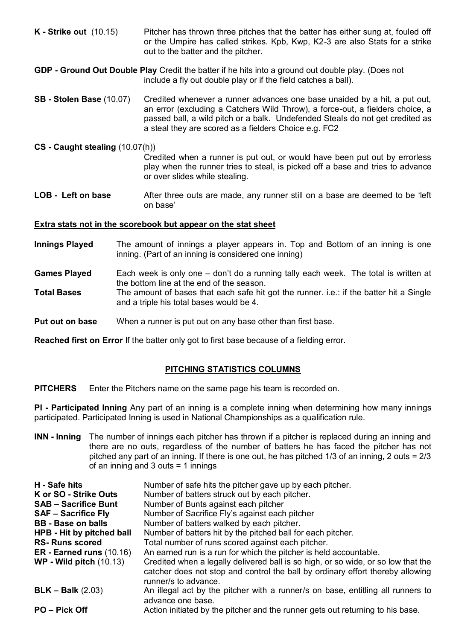- **K - Strike out** (10.15) Pitcher has thrown three pitches that the batter has either sung at, fouled off or the Umpire has called strikes. Kpb, Kwp, K2-3 are also Stats for a strike out to the batter and the pitcher.
- **GDP - Ground Out Double Play** Credit the batter if he hits into a ground out double play. (Does not include a fly out double play or if the field catches a ball).
- **SB - Stolen Base** (10.07) Credited whenever a runner advances one base unaided by a hit, a put out, an error (excluding a Catchers Wild Throw), a force-out, a fielders choice, a passed ball, a wild pitch or a balk. Undefended Steals do not get credited as a steal they are scored as a fielders Choice e.g. FC2
- **CS - Caught stealing** (10.07(h))
	- Credited when a runner is put out, or would have been put out by errorless play when the runner tries to steal, is picked off a base and tries to advance or over slides while stealing.
- **LOB Left on base** After three outs are made, any runner still on a base are deemed to be 'left on base'

## **Extra stats not in the scorebook but appear on the stat sheet**

- **Innings Played** The amount of innings a player appears in. Top and Bottom of an inning is one inning. (Part of an inning is considered one inning)
- **Games Played** Each week is only one don't do a running tally each week. The total is written at the bottom line at the end of the season.
- **Total Bases** The amount of bases that each safe hit got the runner. i.e.: if the batter hit a Single and a triple his total bases would be 4.
- **Put out on base** When a runner is put out on any base other than first base.

**Reached first on Error** If the batter only got to first base because of a fielding error.

# **PITCHING STATISTICS COLUMNS**

**PITCHERS** Enter the Pitchers name on the same page his team is recorded on.

**PI - Participated Inning** Any part of an inning is a complete inning when determining how many innings participated. Participated Inning is used in National Championships as a qualification rule.

**INN - Inning** The number of innings each pitcher has thrown if a pitcher is replaced during an inning and there are no outs, regardless of the number of batters he has faced the pitcher has not pitched any part of an inning. If there is one out, he has pitched 1/3 of an inning, 2 outs = 2/3 of an inning and 3 outs = 1 innings

| H - Safe hits<br>K or SO - Strike Outs<br><b>SAB - Sacrifice Bunt</b><br><b>SAF - Sacrifice Fly</b><br><b>BB</b> - Base on balls<br>HPB - Hit by pitched ball<br><b>RS-Runs scored</b><br>$ER - Earned runs (10.16)$<br>$WP - Wild pitch (10.13)$ | Number of safe hits the pitcher gave up by each pitcher.<br>Number of batters struck out by each pitcher.<br>Number of Bunts against each pitcher<br>Number of Sacrifice Fly's against each pitcher<br>Number of batters walked by each pitcher.<br>Number of batters hit by the pitched ball for each pitcher.<br>Total number of runs scored against each pitcher.<br>An earned run is a run for which the pitcher is held accountable.<br>Credited when a legally delivered ball is so high, or so wide, or so low that the<br>catcher does not stop and control the ball by ordinary effort thereby allowing |
|---------------------------------------------------------------------------------------------------------------------------------------------------------------------------------------------------------------------------------------------------|------------------------------------------------------------------------------------------------------------------------------------------------------------------------------------------------------------------------------------------------------------------------------------------------------------------------------------------------------------------------------------------------------------------------------------------------------------------------------------------------------------------------------------------------------------------------------------------------------------------|
| $BLK - Balk (2.03)$<br><b>PO</b> – Pick Off                                                                                                                                                                                                       | runner/s to advance.<br>An illegal act by the pitcher with a runner/s on base, entitling all runners to<br>advance one base.<br>Action initiated by the pitcher and the runner gets out returning to his base.                                                                                                                                                                                                                                                                                                                                                                                                   |
|                                                                                                                                                                                                                                                   |                                                                                                                                                                                                                                                                                                                                                                                                                                                                                                                                                                                                                  |